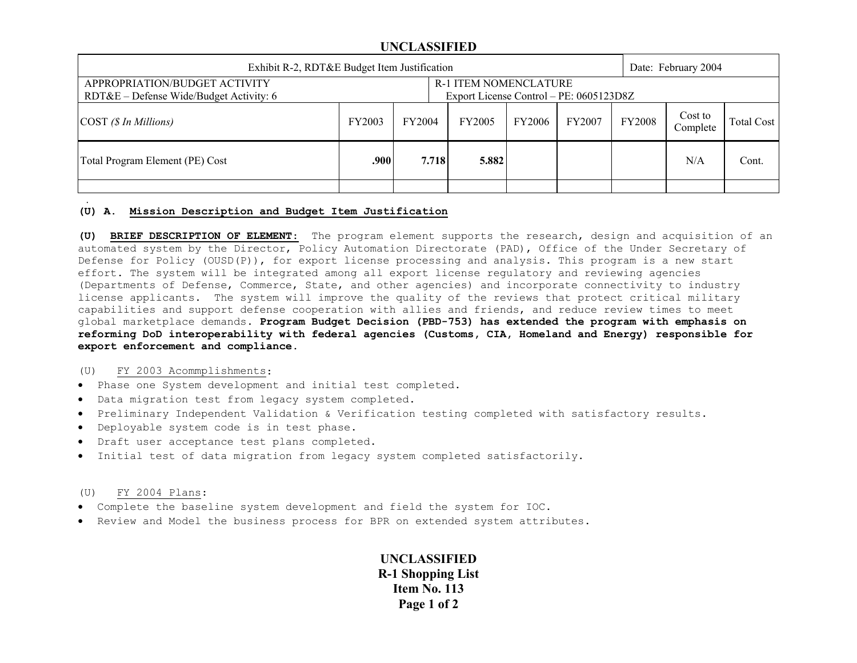## **UNCLASSIFIED**

| Exhibit R-2, RDT&E Budget Item Justification                               |                                                                         |        |               |        |        |               | Date: February 2004 |            |  |
|----------------------------------------------------------------------------|-------------------------------------------------------------------------|--------|---------------|--------|--------|---------------|---------------------|------------|--|
| APPROPRIATION/BUDGET ACTIVITY<br>$RDT&E$ – Defense Wide/Budget Activity: 6 | <b>R-1 ITEM NOMENCLATURE</b><br>Export License Control – PE: 0605123D8Z |        |               |        |        |               |                     |            |  |
| $\text{COST}$ (\$ In Millions)                                             | FY2003                                                                  | FY2004 | <b>FY2005</b> | FY2006 | FY2007 | <b>FY2008</b> | Cost to<br>Complete | Total Cost |  |
| Total Program Element (PE) Cost                                            | .900                                                                    | 7.718  | 5.882         |        |        |               | N/A                 | Cont.      |  |
|                                                                            |                                                                         |        |               |        |        |               |                     |            |  |

### **(U) A. Mission Description and Budget Item Justification**

**(U) BRIEF DESCRIPTION OF ELEMENT**: The program element supports the research, design and acquisition of an automated system by the Director, Policy Automation Directorate (PAD), Office of the Under Secretary of Defense for Policy (OUSD(P)), for export license processing and analysis. This program is a new start effort. The system will be integrated among all export license regulatory and reviewing agencies (Departments of Defense, Commerce, State, and other agencies) and incorporate connectivity to industry license applicants. The system will improve the quality of the reviews that protect critical military capabilities and support defense cooperation with allies and friends, and reduce review times to meet global marketplace demands. **Program Budget Decision (PBD-753) has extended the program with emphasis on reforming DoD interoperability with federal agencies (Customs, CIA, Homeland and Energy) responsible for export enforcement and compliance.** 

#### (U) FY 2003 Acommplishments:

- Phase one System development and initial test completed.
- Data migration test from legacy system completed.
- Preliminary Independent Validation & Verification testing completed with satisfactory results.
- Deployable system code is in test phase.
- Draft user acceptance test plans completed.
- Initial test of data migration from legacy system completed satisfactorily.

### (U) FY 2004 Plans:

.

- Complete the baseline system development and field the system for IOC.
- Review and Model the business process for BPR on extended system attributes.

# **UNCLASSIFIED R-1 Shopping List Item No. 113 Page 1 of 2**